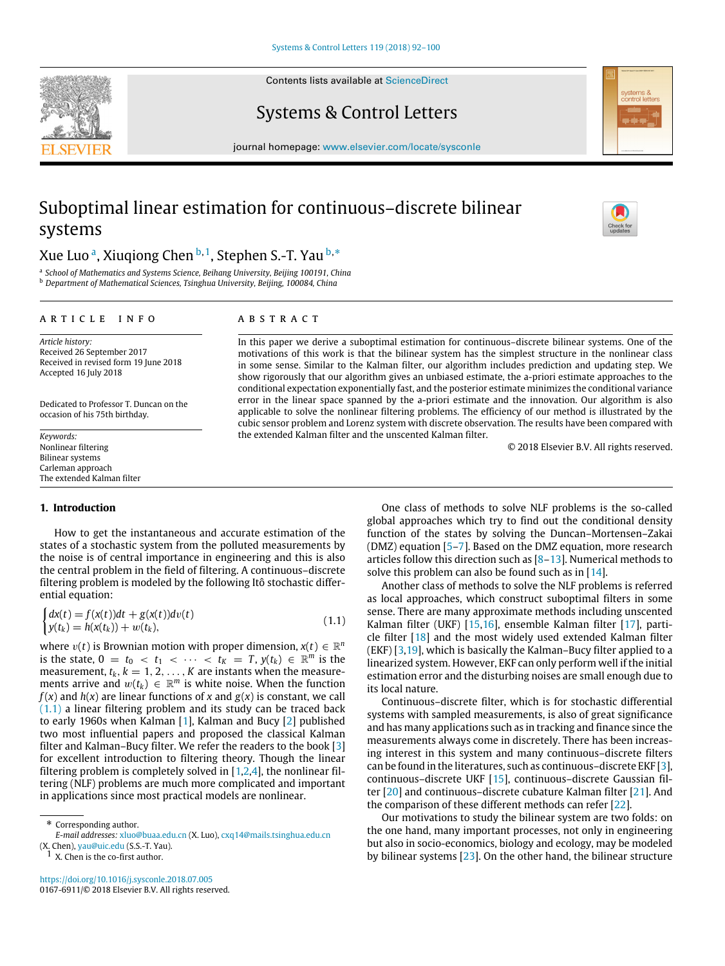Contents lists available at [ScienceDirect](http://www.elsevier.com/locate/sysconle)

# Systems & Control Letters

journal homepage: [www.elsevier.com/locate/sysconle](http://www.elsevier.com/locate/sysconle)

# Suboptimal linear estimation for continuous–discrete bilinear systems

# Xue Luo <sup>[a](#page-0-0)</sup>, Xiuqiong Chen <sup>[b,](#page-0-1) [1](#page-0-2)</sup>, Stephen S.-T. Yau <sup>b,</sup>[\\*](#page-0-3)

<span id="page-0-1"></span><span id="page-0-0"></span>a *School of Mathematics and Systems Science, Beihang University, Beijing 100191, China* <sup>b</sup> *Department of Mathematical Sciences, Tsinghua University, Beijing, 100084, China*

#### a r t i c l e i n f o

## a b s t r a c t

*Article history:* Received 26 September 2017 Received in revised form 19 June 2018 Accepted 16 July 2018

Dedicated to Professor T. Duncan on the occasion of his 75th birthday.

*Keywords:* Nonlinear filtering Bilinear systems Carleman approach The extended Kalman filter

### **1. Introduction**

How to get the instantaneous and accurate estimation of the states of a stochastic system from the polluted measurements by the noise is of central importance in engineering and this is also the central problem in the field of filtering. A continuous–discrete filtering problem is modeled by the following Itô stochastic differential equation:

<span id="page-0-4"></span>
$$
\begin{cases} dx(t) = f(x(t))dt + g(x(t))dv(t) \\ y(t_k) = h(x(t_k)) + w(t_k), \end{cases}
$$
\n(1.1)

where  $v(t)$  is Brownian motion with proper dimension,  $x(t) \in \mathbb{R}^n$ is the state,  $0 = t_0 < t_1 < \cdots < t_K = T$ ,  $y(t_k) \in \mathbb{R}^m$  is the measurement,  $t_k$ ,  $k = 1, 2, ..., K$  are instants when the measurements arrive and  $w(t_k) \in \mathbb{R}^m$  is white noise. When the function  $f(x)$  and  $h(x)$  are linear functions of *x* and  $g(x)$  is constant, we call [\(1.1\)](#page-0-4) a linear filtering problem and its study can be traced back to early 1960s when Kalman [[1\]](#page-8-0), Kalman and Bucy [[2](#page-8-1)] published two most influential papers and proposed the classical Kalman filter and Kalman–Bucy filter. We refer the readers to the book [[3\]](#page-8-2) for excellent introduction to filtering theory. Though the linear filtering problem is completely solved in  $[1,2,4]$  $[1,2,4]$  $[1,2,4]$ , the nonlinear filtering (NLF) problems are much more complicated and important in applications since most practical models are nonlinear.

<span id="page-0-3"></span>\* Corresponding author.

<span id="page-0-2"></span>(X. Chen), [yau@uic.edu](mailto:yau@uic.edu) (S.S.-T. Yau).<br><sup>1</sup> X. Chen is the co-first author.

<https://doi.org/10.1016/j.sysconle.2018.07.005> 0167-6911/© 2018 Elsevier B.V. All rights reserved.

In this paper we derive a suboptimal estimation for continuous–discrete bilinear systems. One of the motivations of this work is that the bilinear system has the simplest structure in the nonlinear class in some sense. Similar to the Kalman filter, our algorithm includes prediction and updating step. We show rigorously that our algorithm gives an unbiased estimate, the a-priori estimate approaches to the conditional expectation exponentially fast, and the posterior estimate minimizes the conditional variance error in the linear space spanned by the a-priori estimate and the innovation. Our algorithm is also applicable to solve the nonlinear filtering problems. The efficiency of our method is illustrated by the cubic sensor problem and Lorenz system with discrete observation. The results have been compared with the extended Kalman filter and the unscented Kalman filter.

© 2018 Elsevier B.V. All rights reserved.

One class of methods to solve NLF problems is the so-called global approaches which try to find out the conditional density function of the states by solving the Duncan–Mortensen–Zakai (DMZ) equation [\[5](#page-8-4)–[7\]](#page-8-5). Based on the DMZ equation, more research articles follow this direction such as [\[8–](#page-8-6)[13](#page-8-7)]. Numerical methods to solve this problem can also be found such as in [\[14\]](#page-8-8).

Another class of methods to solve the NLF problems is referred as local approaches, which construct suboptimal filters in some sense. There are many approximate methods including unscented Kalman filter (UKF) [[15,](#page-8-9)[16](#page-8-10)], ensemble Kalman filter [[17\]](#page-8-11), particle filter [[18](#page-8-12)] and the most widely used extended Kalman filter (EKF)  $[3,19]$  $[3,19]$  $[3,19]$ , which is basically the Kalman–Bucy filter applied to a linearized system. However, EKF can only perform well if the initial estimation error and the disturbing noises are small enough due to its local nature.

Continuous–discrete filter, which is for stochastic differential systems with sampled measurements, is also of great significance and has many applications such as in tracking and finance since the measurements always come in discretely. There has been increasing interest in this system and many continuous–discrete filters can be found in the literatures, such as continuous–discrete EKF [\[3\]](#page-8-2), continuous–discrete UKF [[15](#page-8-9)], continuous–discrete Gaussian filter [[20](#page-8-14)] and continuous–discrete cubature Kalman filter [[21](#page-8-15)]. And the comparison of these different methods can refer [[22](#page-8-16)].

Our motivations to study the bilinear system are two folds: on the one hand, many important processes, not only in engineering but also in socio-economics, biology and ecology, may be modeled by bilinear systems [[23](#page-8-17)]. On the other hand, the bilinear structure







*E-mail addresses:* [xluo@buaa.edu.cn](mailto:xluo@buaa.edu.cn) (X. Luo), [cxq14@mails.tsinghua.edu.cn](mailto:cxq14@mails.tsinghua.edu.cn)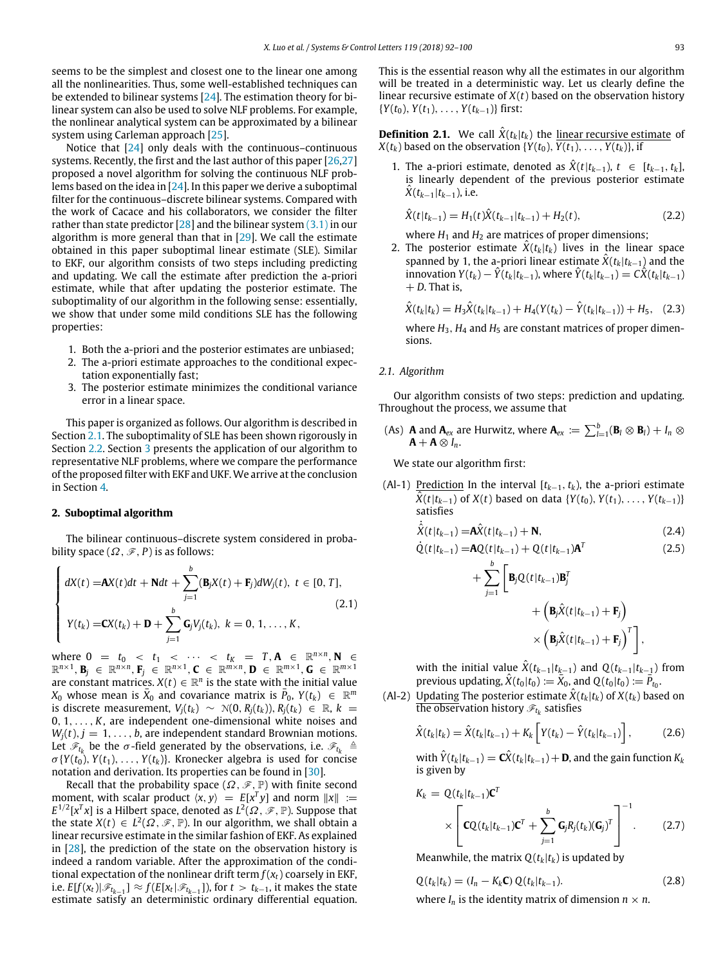seems to be the simplest and closest one to the linear one among all the nonlinearities. Thus, some well-established techniques can be extended to bilinear systems [[24](#page-8-18)]. The estimation theory for bilinear system can also be used to solve NLF problems. For example, the nonlinear analytical system can be approximated by a bilinear system using Carleman approach [[25](#page-8-19)].

Notice that [\[24\]](#page-8-18) only deals with the continuous–continuous systems. Recently, the first and the last author of this paper [\[26](#page-8-20),[27\]](#page-8-21) proposed a novel algorithm for solving the continuous NLF problems based on the idea in  $[24]$ . In this paper we derive a suboptimal filter for the continuous–discrete bilinear systems. Compared with the work of Cacace and his collaborators, we consider the filter rather than state predictor  $[28]$  and the bilinear system  $(3.1)$  in our algorithm is more general than that in [[29](#page-8-23)]. We call the estimate obtained in this paper suboptimal linear estimate (SLE). Similar to EKF, our algorithm consists of two steps including predicting and updating. We call the estimate after prediction the a-priori estimate, while that after updating the posterior estimate. The suboptimality of our algorithm in the following sense: essentially, we show that under some mild conditions SLE has the following properties:

- 1. Both the a-priori and the posterior estimates are unbiased;
- 2. The a-priori estimate approaches to the conditional expectation exponentially fast;
- 3. The posterior estimate minimizes the conditional variance error in a linear space.

This paper is organized as follows. Our algorithm is described in Section [2.1.](#page-1-0) The suboptimality of SLE has been shown rigorously in Section [2.2](#page-2-0). Section [3](#page-4-1) presents the application of our algorithm to representative NLF problems, where we compare the performance of the proposed filter with EKF and UKF.We arrive at the conclusion in Section [4.](#page-6-0)

## **2. Suboptimal algorithm**

The bilinear continuous–discrete system considered in probability space  $(\Omega, \mathscr{F}, P)$  is as follows:

<span id="page-1-1"></span>
$$
\begin{cases}\n dX(t) = AX(t)dt + Ndt + \sum_{j=1}^{b} (B_j X(t) + F_j)dW_j(t), \ t \in [0, T], \\
 Y(t_k) = CX(t_k) + D + \sum_{j=1}^{b} G_j V_j(t_k), \ k = 0, 1, ..., K,\n\end{cases}
$$
\n(2.1)

where  $0 = t_0 < t_1 < \cdots < t_K = T, A \in \mathbb{R}^{n \times n}, N \in$  $\mathbb{R}^{n \times 1}$ , **B**<sub>*j*</sub>  $\in \mathbb{R}^{n \times n}$ , **F**<sub>*j*</sub>  $\in \mathbb{R}^{n \times 1}$ , **C**  $\in \mathbb{R}^{m \times n}$ , **D**  $\in \mathbb{R}^{m \times 1}$ , **G**  $\in \mathbb{R}^{m \times 1}$ are constant matrices.  $X(t) \in \mathbb{R}^n$  is the state with the initial value  $X_0$  whose mean is  $\overline{X}_0$  and covariance matrix is  $\overline{P}_0$ ,  $Y(t_k) \in \mathbb{R}^m$ is discrete measurement,  $V_i(t_k) \sim \mathcal{N}(0, R_i(t_k)), R_i(t_k) \in \mathbb{R}, k =$ 0, 1, . . . , *K*, are independent one-dimensional white noises and  $W_i(t)$ ,  $j = 1, \ldots, b$ , are independent standard Brownian motions. Let  $\mathscr{F}_{t_k}$  be the  $\sigma$ -field generated by the observations, i.e.  $\mathscr{F}_{t_k}$   $\triangleq$  $\sigma$ {*Y*(*t*<sub>0</sub>), *Y*(*t*<sub>1</sub>), ..., *Y*(*t*<sub>*k*</sub>)}. Kronecker algebra is used for concise notation and derivation. Its properties can be found in [\[30\]](#page-8-24).

Recall that the probability space  $(\Omega, \mathscr{F}, \mathbb{P})$  with finite second moment, with scalar product  $\langle x, y \rangle = E[x^T y]$  and norm  $||x|| :=$  $E^{1/2}[x^T x]$  is a Hilbert space, denoted as  $L^2(\Omega, \mathscr{F}, \mathbb{P})$ . Suppose that the state  $X(t) \in L^2(\Omega, \mathscr{F}, \mathbb{P})$ . In our algorithm, we shall obtain a linear recursive estimate in the similar fashion of EKF. As explained in [\[28\]](#page-8-22), the prediction of the state on the observation history is indeed a random variable. After the approximation of the conditional expectation of the nonlinear drift term *f* (*xt*) coarsely in EKF, i.e.  $E[f(x_t)|\mathscr{F}_{t_{k-1}}] \approx f(E[x_t|\mathscr{F}_{t_{k-1}}])$ , for  $t > t_{k-1}$ , it makes the state estimate satisfy an deterministic ordinary differential equation. This is the essential reason why all the estimates in our algorithm will be treated in a deterministic way. Let us clearly define the linear recursive estimate of *X*(*t*) based on the observation history {*Y*(*t*0), *Y*(*t*1), . . . , *Y*(*tk*−1)} first:

**Definition 2.1.** We call  $\hat{X}(t_k|t_k)$  the linear recursive estimate of  $X(t_k)$  based on the observation  $\{Y(t_0), Y(t_1), \ldots, Y(t_k)\}$ , if

1. The a-priori estimate, denoted as  $\hat{X}(t|t_{k-1}), t \in [t_{k-1}, t_k]$ , is linearly dependent of the previous posterior estimate  $X(t_{k-1}|t_{k-1})$ , i.e.

<span id="page-1-3"></span>
$$
\hat{X}(t|t_{k-1}) = H_1(t)\hat{X}(t_{k-1}|t_{k-1}) + H_2(t),
$$
\n(2.2)

where  $H_1$  and  $H_2$  are matrices of proper dimensions;

2. The posterior estimate  $\hat{X}(t_k|t_k)$  lives in the linear space spanned by 1, the a-priori linear estimate  $\hat{X}(t_k|t_{k-1})$  and the innovation *Y*(*t*<sub>*k*</sub>) −  $\hat{Y}(t_k|t_{k-1})$ , where  $\hat{Y}(t_k|t_{k-1}) = C\hat{X}(t_k|t_{k-1})$  $+ D$ . That is,

$$
\hat{X}(t_k|t_k) = H_3 \hat{X}(t_k|t_{k-1}) + H_4(Y(t_k) - \hat{Y}(t_k|t_{k-1})) + H_5, \quad (2.3)
$$

where  $H_3$ ,  $H_4$  and  $H_5$  are constant matrices of proper dimensions.

## <span id="page-1-0"></span>*2.1. Algorithm*

Our algorithm consists of two steps: prediction and updating. Throughout the process, we assume that

(As) **A** and  $\mathbf{A}_{ex}$  are Hurwitz, where  $\mathbf{A}_{ex} := \sum_{l=1}^{b} (\mathbf{B}_{l} \otimes \mathbf{B}_{l}) + I_{n} \otimes$  $A + A \otimes I_n$ .

We state our algorithm first:

+

(Al-1) Prediction In the interval [*tk*−1, *tk*), the a-priori estimate *X*(*t*|*t*<sub>*k*−1</sub>) of *X*(*t*) based on data {*Y*(*t*<sub>0</sub>), *Y*(*t*<sub>1</sub>), . . . . , *Y*(*t*<sub>*k*−1</sub>)} satisfies  $\ddot{\cdot}$ 

<span id="page-1-2"></span>
$$
\hat{X}(t|t_{k-1}) = A\hat{X}(t|t_{k-1}) + N,
$$
\n(2.4)

<span id="page-1-4"></span>
$$
\dot{Q}(t|t_{k-1}) = AQ(t|t_{k-1}) + Q(t|t_{k-1})A^{T}
$$
\n(2.5)

$$
\sum_{j=1}^{b} \left[ \mathbf{B}_{j} Q(t|t_{k-1}) \mathbf{B}_{j}^{T} + \left( \mathbf{B}_{j} \hat{X}(t|t_{k-1}) + \mathbf{F}_{j} \right) \times \left( \mathbf{B}_{j} \hat{X}(t|t_{k-1}) + \mathbf{F}_{j} \right)^{T} \right]
$$

,

with the initial value  $\hat{X}(t_{k-1}|t_{k-1})$  and  $Q(t_{k-1}|t_{k-1})$  from previous updating,  $\hat{X}(t_0|t_0) := \overline{X}_0$ , and  $Q(t_0|t_0) := \overline{P}_{t_0}$ .

(Al-2) Updating The posterior estimate  $\hat{X}(t_k|t_k)$  of  $X(t_k)$  based on the observation history  $\mathscr{F}_{t_k}$  satisfies

<span id="page-1-5"></span>
$$
\hat{X}(t_k|t_k) = \hat{X}(t_k|t_{k-1}) + K_k \left[ Y(t_k) - \hat{Y}(t_k|t_{k-1}) \right],
$$
\n(2.6)

with  $\hat{Y}(t_k|t_{k-1}) = \hat{\textbf{C}}(t_k|t_{k-1}) + \textbf{D}$ , and the gain function  $K_k$ is given by

<span id="page-1-6"></span>
$$
K_k = Q(t_k|t_{k-1})\mathbf{C}^T
$$
  
 
$$
\times \left[\mathbf{C}Q(t_k|t_{k-1})\mathbf{C}^T + \sum_{j=1}^b \mathbf{G}_j R_j(t_k)(\mathbf{G}_j)^T\right]^{-1}.
$$
 (2.7)

Meanwhile, the matrix  $Q(t_k|t_k)$  is updated by

$$
Q(t_k|t_k) = (I_n - K_k \mathbf{C}) Q(t_k|t_{k-1}).
$$
\n(2.8)  
\nwhere  $I_n$  is the identity matrix of dimension  $n \times n$ .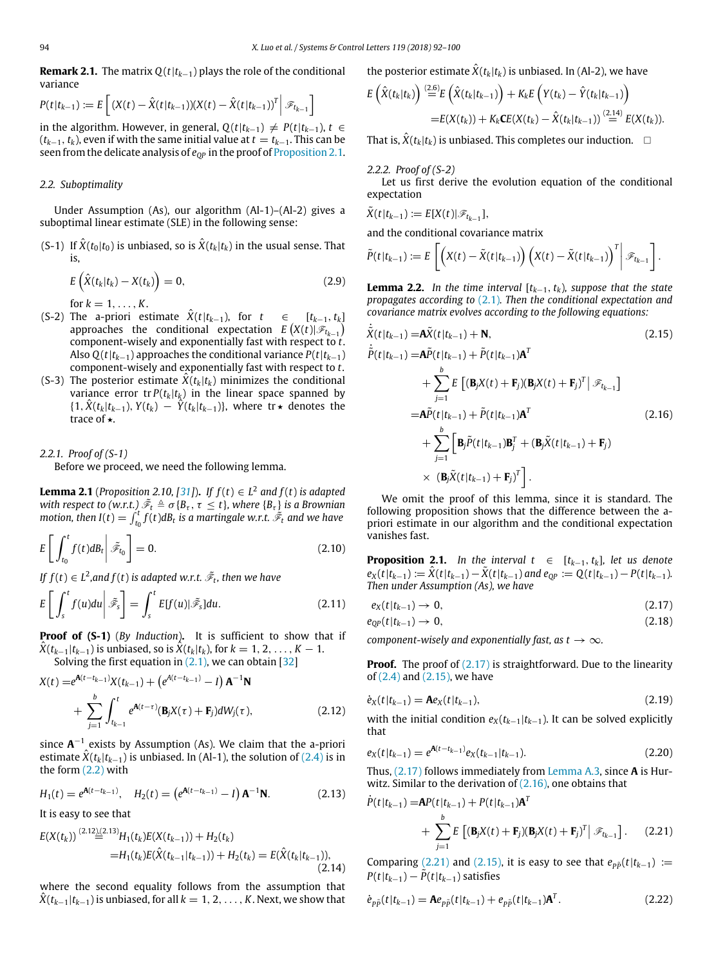**Remark 2.1.** The matrix *Q*(*t*|*tk*−1) plays the role of the conditional variance

$$
P(t|t_{k-1}) := E\left[ (X(t) - \hat{X}(t|t_{k-1}))(X(t) - \hat{X}(t|t_{k-1}))^T \middle| \mathcal{F}_{t_{k-1}} \right]
$$

in the algorithm. However, in general,  $Q(t|t_{k-1}) \neq P(t|t_{k-1})$ ,  $t \in$  $(t_{k-1}, t_k)$ , even if with the same initial value at  $t = t_{k-1}$ . This can be seen from the delicate analysis of  $e_{OP}$  in the proof of [Proposition 2.1.](#page-2-1)

#### <span id="page-2-0"></span>*2.2. Suboptimality*

Under Assumption (As), our algorithm (Al-1)–(Al-2) gives a suboptimal linear estimate (SLE) in the following sense:

(S-1) If  $\hat{X}(t_0|t_0)$  is unbiased, so is  $\hat{X}(t_k|t_k)$  in the usual sense. That is,

$$
E\left(\hat{X}(t_k|t_k) - X(t_k)\right) = 0,\tag{2.9}
$$

for  $k = 1, ..., K$ .

- (S-2) The a-priori estimate  $\hat{X}(t|t_{k-1})$ , for  $t \in [t_{k-1}, t_k]$  $\mathsf{approaches}$  the conditional expectation  $E\left(X(t)|\mathscr{F}_{t_{k-1}}\right)$ component-wisely and exponentially fast with respect to *t*. Also  $Q(t|t_{k-1})$  approaches the conditional variance  $P(t|t_{k-1})$ component-wisely and exponentially fast with respect to *t*.
- (S-3) The posterior estimate  $\hat{X}(t_k|t_k)$  minimizes the conditional variance error  $tr P(t_k|t_k)$  in the linear space spanned by {1,  $\hat{X}(t_k|t_{k-1})$ ,  $Y(t_k) - \hat{Y}(t_k|t_{k-1})$ }, where tr★ denotes the trace of **★**.

*2.2.1. Proof of (S-1)* Before we proceed, we need the following lemma.

**Lemma 2.1** (*Proposition 2.10, [[31](#page-8-25)]*). *If*  $f(t) \in L^2$  and  $f(t)$  is adapted with respect to (w.r.t.)  $\tilde{\mathscr{F}}_t \triangleq \sigma\{B_\tau, \tau\leq t\}$ , where  $\{B_\tau\}$  is a Brownian *motion, then I*(*t*)  $= \int_{t_0}^{t} f(t)dB_t$  is a martingale w.r.t.  $\tilde{\mathscr{F}}_t$  and we have

$$
E\left[\int_{t_0}^t f(t)dB_t\middle|\tilde{\mathscr{F}}_{t_0}\right] = 0.
$$
\n(2.10)

If  $f(t) \in L^2$ ,and  $f(t)$  is adapted w.r.t.  $\tilde{\mathscr{F}}_t$ , then we have

$$
E\left[\int_{s}^{t} f(u) du \middle| \tilde{\mathscr{F}}_{s}\right] = \int_{s}^{t} E[f(u)] \tilde{\mathscr{F}}_{s}] du.
$$
 (2.11)

**Proof of (S-1)** (*By Induction*)**.** It is sufficient to show that if *X*( $t_{k-1}|t_{k-1}$ ) is unbiased, so is  $\hat{X}(t_k|t_k)$ , for  $k = 1, 2, ..., K - 1$ . Solving the first equation in  $(2.1)$ , we can obtain  $[32]$ 

$$
X(t) = e^{A(t-t_{k-1})}X(t_{k-1}) + (e^{A(t-t_{k-1})} - I) A^{-1}N
$$
  
+ 
$$
\sum_{j=1}^{b} \int_{t_{k-1}}^{t} e^{A(t-\tau)}(\mathbf{B}_{j}X(\tau) + \mathbf{F}_{j})dW_{j}(\tau),
$$
 (2.12)

since  $A^{-1}$  exists by Assumption (As). We claim that the a-priori estimate  $\hat{X}(t_k|t_{k-1})$  is unbiased. In (Al-1), the solution of [\(2.4\)](#page-1-2) is in the form [\(2.2\)](#page-1-3) with

$$
H_1(t) = e^{\mathbf{A}(t - t_{k-1})}, \quad H_2(t) = \left(e^{\mathbf{A}(t - t_{k-1})} - I\right) \mathbf{A}^{-1} \mathbf{N}.
$$
 (2.13)

It is easy to see that

*<sup>E</sup>*(*X*(*tk*)) (2.12),(2.13)

$$
E(X(t_k)) \stackrel{(2.12)(2.13)}{=} H_1(t_k)E(X(t_{k-1})) + H_2(t_k)
$$
  
=
$$
H_1(t_k)E(\hat{X}(t_{k-1}|t_{k-1})) + H_2(t_k) = E(\hat{X}(t_k|t_{k-1})),
$$
\n(2.14)

where the second equality follows from the assumption that  $X(t_{k-1}|t_{k-1})$  is unbiased, for all  $k = 1, 2, ..., K$ . Next, we show that

the posterior estimate 
$$
\hat{X}(t_k|t_k)
$$
 is unbiased. In (Al-2), we have

$$
E\left(\hat{X}(t_k|t_k)\right) \stackrel{(2.6)}{=} E\left(\hat{X}(t_k|t_{k-1})\right) + K_k E\left(Y(t_k) - \hat{Y}(t_k|t_{k-1})\right) = E(X(t_k)) + K_k CE(X(t_k) - \hat{X}(t_k|t_{k-1})) \stackrel{(2.14)}{=} E(X(t_k)).
$$

That is,  $\hat{X}(t_k|t_k)$  is unbiased. This completes our induction.  $\Box$ 

#### *2.2.2. Proof of (S-2)*

 $\overline{a}$ 

Let us first derive the evolution equation of the conditional expectation

$$
\tilde{X}(t|t_{k-1}) := E[X(t)|\mathscr{F}_{t_{k-1}}],
$$

and the conditional covariance matrix

$$
\tilde{P}(t|t_{k-1}) := E\left[\left(X(t) - \tilde{X}(t|t_{k-1})\right)\left(X(t) - \tilde{X}(t|t_{k-1})\right)^T\middle|\mathscr{F}_{t_{k-1}}\right].
$$

**Lemma 2.2.** *In the time interval* [*tk*−1, *tk*)*, suppose that the state propagates according to* [\(2.1\)](#page-1-1)*. Then the conditional expectation and covariance matrix evolves according to the following equations:*

<span id="page-2-3"></span>
$$
\tilde{X}(t|t_{k-1}) = \mathbf{A}\tilde{X}(t|t_{k-1}) + \mathbf{N},
$$
\n(2.15)  
\n
$$
\tilde{P}(t|t_{k-1}) = \mathbf{A}\tilde{P}(t|t_{k-1}) + \tilde{P}(t|t_{k-1})\mathbf{A}^T
$$
\n
$$
+ \sum_{j=1}^{b} E\left[ (\mathbf{B}_jX(t) + \mathbf{F}_j)(\mathbf{B}_jX(t) + \mathbf{F}_j)^T \middle| \mathcal{F}_{t_{k-1}} \right]
$$
\n
$$
= \mathbf{A}\tilde{P}(t|t_{k-1}) + \tilde{P}(t|t_{k-1})\mathbf{A}^T
$$
\n
$$
+ \sum_{j=1}^{b} \left[ \mathbf{B}_j\tilde{P}(t|t_{k-1})\mathbf{B}_j^T + (\mathbf{B}_j\tilde{X}(t|t_{k-1}) + \mathbf{F}_j) \right]
$$
\n
$$
\times (\mathbf{B}_j\tilde{X}(t|t_{k-1}) + \mathbf{F}_j)^T \right].
$$
\n(2.16)

<span id="page-2-4"></span>We omit the proof of this lemma, since it is standard. The following proposition shows that the difference between the apriori estimate in our algorithm and the conditional expectation vanishes fast.

<span id="page-2-1"></span>**Proposition 2.1.** *In the interval t* ∈  $[t_{k-1}, t_k]$ *, let us denote*  $e_X(t|t_{k-1}) := \hat{X}(t|t_{k-1}) - \tilde{X}(t|t_{k-1})$  and  $e_{QP} := Q(t|t_{k-1}) - P(t|t_{k-1}).$ *Then under Assumption (As), we have*

<span id="page-2-2"></span>
$$
e_X(t|t_{k-1}) \to 0, \tag{2.17}
$$

<span id="page-2-7"></span>
$$
e_{QP}(t|t_{k-1}) \to 0, \qquad (2.18)
$$

*component-wisely and exponentially fast, as t*  $\rightarrow \infty$ *.* 

**Proof.** The proof of [\(2.17\)](#page-2-2) is straightforward. Due to the linearity of [\(2.4\)](#page-1-2) and [\(2.15\),](#page-2-3) we have

$$
\dot{e}_X(t|t_{k-1}) = \mathbf{A}e_X(t|t_{k-1}),\tag{2.19}
$$

with the initial condition  $e_X(t_{k-1}|t_{k-1})$ . It can be solved explicitly that

<span id="page-2-8"></span>
$$
e_X(t|t_{k-1}) = e^{\mathbf{A}(t-t_{k-1})} e_X(t_{k-1}|t_{k-1}).
$$
\n(2.20)

Thus, [\(2.17\)](#page-2-2) follows immediately from [Lemma A.3,](#page-7-0) since **A** is Hurwitz. Similar to the derivation of  $(2.16)$ , one obtains that

<span id="page-2-5"></span>
$$
\dot{P}(t|t_{k-1}) = AP(t|t_{k-1}) + P(t|t_{k-1})\mathbf{A}^T
$$
  
+ 
$$
\sum_{j=1}^b E\left[ (\mathbf{B}_j X(t) + \mathbf{F}_j)(\mathbf{B}_j X(t) + \mathbf{F}_j)^T \middle| \mathcal{F}_{t_{k-1}} \right].
$$
 (2.21)

Comparing [\(2.21\)](#page-2-5) and [\(2.15\),](#page-2-3) it is easy to see that  $e_{p\tilde{p}}(t|t_{k-1}) :=$  $P(t|t_{k-1}) - \tilde{P}(t|t_{k-1})$  satisfies

<span id="page-2-6"></span>
$$
\dot{e}_{p\tilde{p}}(t|t_{k-1}) = \mathbf{A}e_{p\tilde{p}}(t|t_{k-1}) + e_{p\tilde{p}}(t|t_{k-1})\mathbf{A}^T.
$$
 (2.22)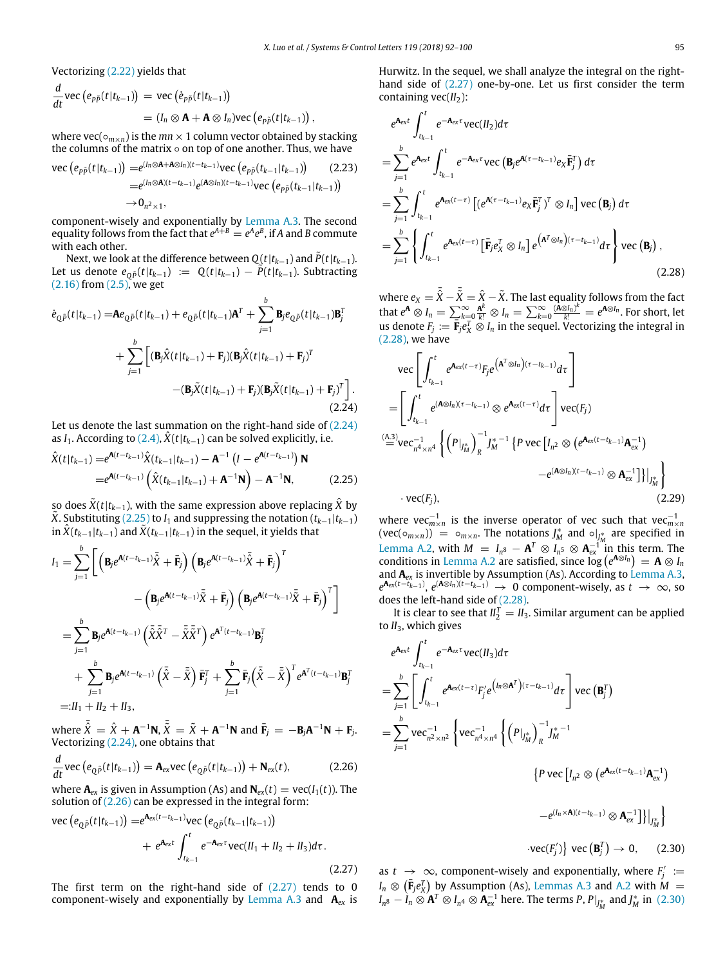Vectorizing [\(2.22\)](#page-2-6) yields that

$$
\frac{d}{dt}\text{vec}\left(e_{p\tilde{p}}(t|t_{k-1})\right) = \text{vec}\left(\dot{e}_{p\tilde{p}}(t|t_{k-1})\right) \n= (I_n \otimes \mathbf{A} + \mathbf{A} \otimes I_n)\text{vec}\left(e_{p\tilde{p}}(t|t_{k-1})\right),
$$

where vec( $\circ_{m\times n}$ ) is the  $mn \times 1$  column vector obtained by stacking the columns of the matrix  $\diamond$  on top of one another. Thus, we have

<span id="page-3-7"></span>vec 
$$
(e_{p\tilde{p}}(t|t_{k-1})) = e^{(l_n \otimes A + A \otimes l_n)(t - t_{k-1})} \text{vec } (e_{p\tilde{p}}(t_{k-1}|t_{k-1}))
$$
 (2.23)  
=  $e^{(l_n \otimes A)(t - t_{k-1})} e^{(A \otimes l_n)(t - t_{k-1})} \text{vec } (e_{p\tilde{p}}(t_{k-1}|t_{k-1}))$   
 $\rightarrow 0_{n^2 \times 1}$ ,

component-wisely and exponentially by [Lemma A.3](#page-7-0). The second equality follows from the fact that  $e^{A+B}=e^Ae^B$ , if A and B commute with each other.

Next, we look at the difference between  $Q(t|t_{k-1})$  and  $\tilde{P}(t|t_{k-1})$ . Let us denote  $e_{\theta \tilde{P}}(t|t_{k-1})$  :=  $Q(t|t_{k-1}) - \tilde{P}(t|t_{k-1})$ . Subtracting  $(2.16)$  from  $(2.5)$ , we get

<span id="page-3-0"></span>
$$
\dot{e}_{Q\tilde{P}}(t|t_{k-1}) = \mathbf{A}e_{Q\tilde{P}}(t|t_{k-1}) + e_{Q\tilde{P}}(t|t_{k-1})\mathbf{A}^T + \sum_{j=1}^b \mathbf{B}_j e_{Q\tilde{P}}(t|t_{k-1})\mathbf{B}_j^T
$$
  
+ 
$$
\sum_{j=1}^b \left[ (\mathbf{B}_j \hat{X}(t|t_{k-1}) + \mathbf{F}_j)(\mathbf{B}_j \hat{X}(t|t_{k-1}) + \mathbf{F}_j)^T - (\mathbf{B}_j \tilde{X}(t|t_{k-1}) + \mathbf{F}_j)(\mathbf{B}_j \tilde{X}(t|t_{k-1}) + \mathbf{F}_j)^T \right].
$$
\n(2.24)

Let us denote the last summation on the right-hand side of [\(2.24\)](#page-3-0) as *I*<sub>1</sub>. According to [\(2.4\)](#page-1-2),  $\hat{X}(t|t_{k-1})$  can be solved explicitly, i.e.

<span id="page-3-1"></span>
$$
\hat{X}(t|t_{k-1}) = e^{\mathbf{A}(t-t_{k-1})}\hat{X}(t_{k-1}|t_{k-1}) - \mathbf{A}^{-1}(I - e^{\mathbf{A}(t-t_{k-1})})\mathbf{N}
$$
\n
$$
= e^{\mathbf{A}(t-t_{k-1})}\left(\hat{X}(t_{k-1}|t_{k-1}) + \mathbf{A}^{-1}\mathbf{N}\right) - \mathbf{A}^{-1}\mathbf{N},
$$
\n(2.25)

so does  $\tilde{X}(t|t_{k-1})$ , with the same expression above replacing  $\tilde{X}$  by *X*. Substituting [\(2.25\)](#page-3-1) to *I*<sub>1</sub> and suppressing the notation ( $t_{k-1}|t_{k-1}$ ) in  $\ddot{X}(t_{k-1}|t_{k-1})$  and  $\dot{X}(t_{k-1}|t_{k-1})$  in the sequel, it yields that

$$
I_{1} = \sum_{j=1}^{b} \left[ \left( \mathbf{B}_{j} e^{\mathbf{A}(t-t_{k-1})} \tilde{\tilde{\mathbf{X}}} + \bar{\mathbf{F}}_{j} \right) \left( \mathbf{B}_{j} e^{\mathbf{A}(t-t_{k-1})} \tilde{\tilde{\mathbf{X}}} + \bar{\mathbf{F}}_{j} \right)^{T} - \left( \mathbf{B}_{j} e^{\mathbf{A}(t-t_{k-1})} \tilde{\tilde{\mathbf{X}}} + \bar{\mathbf{F}}_{j} \right) \left( \mathbf{B}_{j} e^{\mathbf{A}(t-t_{k-1})} \tilde{\tilde{\mathbf{X}}} + \bar{\mathbf{F}}_{j} \right)^{T} \right]
$$
  
\n
$$
= \sum_{j=1}^{b} \mathbf{B}_{j} e^{\mathbf{A}(t-t_{k-1})} \left( \tilde{\tilde{\mathbf{X}}} \tilde{\tilde{\mathbf{X}}}^{T} - \tilde{\tilde{\mathbf{X}}} \tilde{\tilde{\mathbf{X}}}^{T} \right) e^{\mathbf{A}^{T} (t-t_{k-1})} \mathbf{B}_{j}^{T}
$$
  
\n
$$
+ \sum_{j=1}^{b} \mathbf{B}_{j} e^{\mathbf{A}(t-t_{k-1})} \left( \tilde{\tilde{\mathbf{X}}} - \tilde{\tilde{\mathbf{X}}} \right) \bar{\mathbf{F}}_{j}^{T} + \sum_{j=1}^{b} \bar{\mathbf{F}}_{j} \left( \tilde{\tilde{\mathbf{X}}} - \tilde{\tilde{\mathbf{X}}} \right)^{T} e^{\mathbf{A}^{T} (t-t_{k-1})} \mathbf{B}_{j}^{T}
$$
  
\n
$$
=: I_{1} + II_{2} + II_{3},
$$

where  $\tilde{\hat{X}} = \hat{X} + \mathbf{A}^{-1}\mathbf{N}$ ,  $\tilde{\bar{X}} = \tilde{X} + \mathbf{A}^{-1}\mathbf{N}$  and  $\bar{\mathbf{F}}_j = -\mathbf{B}_j\mathbf{A}^{-1}\mathbf{N} + \mathbf{F}_j$ . Vectorizing [\(2.24\),](#page-3-0) one obtains that

<span id="page-3-2"></span>
$$
\frac{d}{dt}\text{vec}\left(e_{Q\tilde{P}}(t|t_{k-1})\right) = \mathbf{A}_{ex}\text{vec}\left(e_{Q\tilde{P}}(t|t_{k-1})\right) + \mathbf{N}_{ex}(t),\tag{2.26}
$$

where  $\mathbf{A}_{ex}$  is given in Assumption (As) and  $\mathbf{N}_{ex}(t) = \text{vec}(I_1(t))$ . The solution of  $(2.26)$  can be expressed in the integral form:

<span id="page-3-3"></span>vec 
$$
(e_{Q\tilde{P}}(t|t_{k-1})) = e^{\mathbf{A}_{ex}(t-t_{k-1})}
$$
vec  $(e_{Q\tilde{P}}(t_{k-1}|t_{k-1}))$   
  $+ e^{\mathbf{A}_{ex}t} \int_{t_{k-1}}^{t} e^{-\mathbf{A}_{ex}\tau} \text{vec}(H_1 + H_2 + H_3) d\tau.$  (2.27)

The first term on the right-hand side of  $(2.27)$  tends to 0 component-wisely and exponentially by [Lemma A.3](#page-7-0) and **A***ex* is Hurwitz. In the sequel, we shall analyze the integral on the righthand side of [\(2.27\)](#page-3-3) one-by-one. Let us first consider the term containing vec(*II*<sub>2</sub>):

$$
e^{\mathbf{A}_{\text{ext}}} \int_{t_{k-1}}^{t} e^{-\mathbf{A}_{\text{ext}}} \text{vec}(\mathbf{I}_{2}) d\tau
$$
\n
$$
= \sum_{j=1}^{b} e^{\mathbf{A}_{\text{ext}}} \int_{t_{k-1}}^{t} e^{-\mathbf{A}_{\text{ext}}} \text{vec}(\mathbf{B}_{j} e^{\mathbf{A}(\tau - t_{k-1})} e_{\text{X}} \bar{\mathbf{F}}_{j}^{T}) d\tau
$$
\n
$$
= \sum_{j=1}^{b} \int_{t_{k-1}}^{t} e^{\mathbf{A}_{\text{ext}}(t-\tau)} \left[ (e^{\mathbf{A}(\tau - t_{k-1})} e_{\text{X}} \bar{\mathbf{F}}_{j}^{T})^{T} \otimes I_{n} \right] \text{vec}(\mathbf{B}_{j}) d\tau
$$
\n
$$
= \sum_{j=1}^{b} \left\{ \int_{t_{k-1}}^{t} e^{\mathbf{A}_{\text{ext}}(t-\tau)} \left[ \bar{\mathbf{F}}_{j} e_{\text{X}}^{T} \otimes I_{n} \right] e^{\left( \mathbf{A}^{T} \otimes I_{n} \right) (\tau - t_{k-1})} d\tau \right\} \text{vec}(\mathbf{B}_{j}), \tag{2.28}
$$

<span id="page-3-4"></span>where  $e_X = \bar{\hat{X}} - \bar{\hat{X}} = \hat{X} - \tilde{X}$ . The last equality follows from the fact that  $e^{\mathbf{A}} \otimes I_n = \sum_{k=0}^{\infty} \frac{\mathbf{A}^k}{k!} \otimes I_n = \sum_{k=0}^{\infty} \frac{(\mathbf{A} \otimes I_n)^k}{k!} = e^{\mathbf{A} \otimes I_n}$ . For short, let us denote  $F_j := \overline{\mathbf{F}}_j e_X^T \otimes I_n$  in the sequel. Vectorizing the integral in [\(2.28\),](#page-3-4) we have

$$
\begin{split}\n&\text{vec}\left[\int_{t_{k-1}}^{t} e^{\mathbf{A}_{ex}(t-\tau)} F_{j} e^{(\mathbf{A}^{T} \otimes I_{n})(\tau-t_{k-1})} d\tau\right] \\
&= \left[\int_{t_{k-1}}^{t} e^{(\mathbf{A} \otimes I_{n})(\tau-t_{k-1})} \otimes e^{\mathbf{A}_{ex}(t-\tau)} d\tau\right] \text{vec}(F_{j}) \\
&\stackrel{\text{(A.3)}}{=} \text{vec}_{n^{4} \times n^{4}} \left\{ \left(P|_{J_{M}^{*}}\right)_{R}^{-1} J_{M}^{* - 1} \left\{ P \text{ vec}\left[I_{n^{2}} \otimes \left(e^{\mathbf{A}_{ex}(t-t_{k-1})} \mathbf{A}_{ex}^{-1}\right)\right.\right. \\
&\left. - e^{(\mathbf{A} \otimes I_{n})(t-t_{k-1})} \otimes \mathbf{A}_{ex}^{-1}\right] \right\} |_{J_{M}^{*}}\right\} \\
&\cdot \text{vec}(F_{j}),\n\end{split}
$$
\n(2.29)

<span id="page-3-6"></span>*where vec*<sup> $−1$ </sup><sub>*m*×*n*</sub> is the inverse operator of vec such that vec<sup> $−1$ </sup><sub>*m×n*</sub> (vec( $\circ_{m \times n}$ )) =  $\circ_{m \times n}$ . The notations  $J_M^*$  and  $\circ_{J_M^*}$  are specified in [Lemma A.2](#page-7-1), with  $M = I_{n^8} - A^T \otimes I_{n^5} \otimes A_{ex}^{-1}$  in this term. The conditions in [Lemma A.2](#page-7-1) are satisfied, since  $\log (e^{A \otimes I_n}) = A \otimes I_n$ and **A***ex* is invertible by Assumption (As). According to [Lemma A.3,](#page-7-0)  $e^{A_{ex}(t-t_{k-1})}$ ,  $e^{(A\otimes I_n)(t-t_{k-1})} \rightarrow 0$  component-wisely, as  $t \rightarrow \infty$ , so does the left-hand side of [\(2.28\).](#page-3-4)

It is clear to see that  $II_2^T = II_3$ . Similar argument can be applied to *II*3, which gives

<span id="page-3-5"></span>
$$
e^{\mathbf{A}_{\text{ext}}} \int_{t_{k-1}}^{t} e^{-\mathbf{A}_{\text{ext}} \cdot \mathbf{v}_{\text{CC}}(H_{3}) d\tau}
$$
\n
$$
= \sum_{j=1}^{b} \left[ \int_{t_{k-1}}^{t} e^{\mathbf{A}_{\text{ext}}(t-\tau)} F_{j}^{\prime} e^{\left( I_{n} \otimes \mathbf{A}^{T} \right)(\tau - t_{k-1})} d\tau \right] \text{vec} \left( \mathbf{B}_{j}^{T} \right)
$$
\n
$$
= \sum_{j=1}^{b} \text{vec}_{n^{2} \times n^{2}}^{-1} \left\{ \text{vec}_{n^{4} \times n^{4}}^{-1} \left\{ \left( P \right|_{J_{M}^{*}} \right)_{R}^{-1} J_{M}^{* - 1} \right\}
$$
\n
$$
\left\{ P \text{ vec} \left[ I_{n^{2}} \otimes \left( e^{\mathbf{A}_{\text{ext}}(t - t_{k-1})} \mathbf{A}_{\text{ext}}^{-1} \right) \right] \right\}
$$

$$
-e^{(I_n\times A)(t-t_{k-1})}\otimes A_{ex}^{-1}\big]\big\}\big|_{J_M^*}\bigg\}
$$

 $\cdot$ vec(*F'<sub>j</sub>*)</sub>  $\}$  vec (**B**<sup>*T*</sup><sub>*j*</sub>)  $\rightarrow$  0, (2.30)

as  $t \to \infty$ , component-wisely and exponentially, where  $F'_j :=$  $I_n \otimes (\bar{\mathbf{F}}_j e_X^T)$  by Assumption (As), [Lemmas A.3](#page-7-0) and [A.2](#page-7-1) with  $\hat{M} =$  $I_{n^8} - I_n \otimes A^T \otimes I_{n^4} \otimes A_{ex}^{-1}$  here. The terms *P*,  $P|_{J_M^*}$  and  $J_M^*$  in [\(2.30\)](#page-3-5)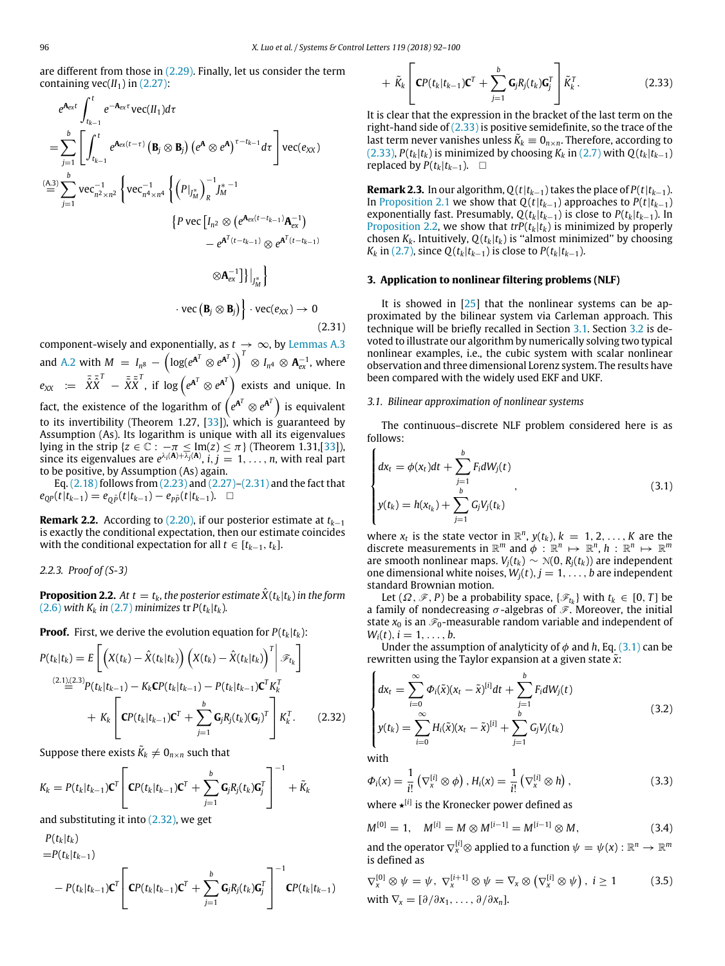are different from those in [\(2.29\).](#page-3-6) Finally, let us consider the term containing  $vec(H_1)$  in  $(2.27)$ :

$$
e^{\mathbf{A}_{\text{ext}}} \int_{t_{k-1}}^{t} e^{-\mathbf{A}_{\text{ext}}} \text{vec}(\mathbf{H}_{1}) d\tau
$$
\n
$$
= \sum_{j=1}^{b} \left[ \int_{t_{k-1}}^{t} e^{\mathbf{A}_{\text{ext}}(t-\tau)} \left( \mathbf{B}_{j} \otimes \mathbf{B}_{j} \right) \left( e^{\mathbf{A}} \otimes e^{\mathbf{A}} \right)^{\tau-t_{k-1}} d\tau \right] \text{vec}(e_{XX})
$$
\n
$$
\stackrel{\text{(A.3)}}{=} \sum_{j=1}^{b} \text{vec}^{-1}_{n^{2} \times n^{2}} \left\{ \text{vec}^{-1}_{n^{4} \times n^{4}} \left\{ \left( P \big|_{j_{M}^{*}} \right)_{R}^{-1} J_{M}^{* - 1} \right. \right. \\
\left. \left\{ P \text{vec} \left[ I_{n^{2}} \otimes \left( e^{\mathbf{A}_{\text{ext}}(t-t_{k-1})} \mathbf{A}_{\text{ext}}^{-1} \right) \right. \right. \\
\left. \left. - e^{\mathbf{A}^{T}(t-t_{k-1})} \otimes e^{\mathbf{A}^{T}(t-t_{k-1})} \right. \right. \\
\left. \left. \otimes \mathbf{A}_{\text{ext}}^{-1} \right] \right\} \right|_{J_{M}^{*}} \left\} \cdot \text{vec}(\mathbf{e}_{XX}) \to 0
$$
\n
$$
(2.31)
$$

<span id="page-4-2"></span>component-wisely and exponentially, as  $t \to \infty$ , by [Lemmas A.3](#page-7-0) and [A.2](#page-7-1) with  $M~=~I_{n^8}~-~\left(\log(e^{\mathbf{A}^T} \otimes e^{\mathbf{A}^T})\right)^T~\otimes~I_{n^4}~\otimes~\mathbf{A}_{\text{ex}}^{-1},$  where  $e_{XX}$  :=  $\bar{\hat{X}} \bar{\hat{X}}^T$  -  $\bar{\tilde{X}} \bar{\tilde{X}}^T$ , if log  $\left(e^{\mathbf{A}^T} \otimes e^{\mathbf{A}^T}\right)$  exists and unique. In fact, the existence of the logarithm of  $\left(e^{{\bf A}^T}\otimes e^{{\bf A}^T}\right)$  is equivalent to its invertibility (Theorem 1.27, [\[33\]](#page-8-27)), which is guaranteed by Assumption (As). Its logarithm is unique with all its eigenvalues lying in the strip { $z \in \mathbb{C}$  :  $-\pi \leq Im(z) \leq \pi$ } (Theorem 1.31,[\[33\]](#page-8-27)), since its eigenvalues are  $e^{\lambda_i(A) + \overline{\lambda_j}(A)}$ ,  $i, j = 1, ..., n$ , with real part to be positive, by Assumption (As) again.

Eq. [\(2.18\)](#page-2-7) follows from [\(2.23\)](#page-3-7) and [\(2.27\)–](#page-3-3)[\(2.31\)](#page-4-2) and the fact that  $e_{QP}(t|t_{k-1}) = e_{O\tilde{P}}(t|t_{k-1}) - e_{P\tilde{P}}(t|t_{k-1}).$  □

**Remark 2.2.** According to [\(2.20\),](#page-2-8) if our posterior estimate at *tk*−<sup>1</sup> is exactly the conditional expectation, then our estimate coincides with the conditional expectation for all  $t \in [t_{k-1}, t_k]$ .

*2.2.3. Proof of (S-3)*

<span id="page-4-5"></span>**Proposition 2.2.** At  $t = t_k$ , the posterior estimate  $\hat{X}(t_k|t_k)$  in the form [\(2.6\)](#page-1-5) *with*  $K_k$  *in* [\(2.7\)](#page-1-6) *minimizes* tr  $P(t_k|t_k)$ *.* 

**Proof.** First, we derive the evolution equation for  $P(t_k|t_k)$ :

<span id="page-4-3"></span>
$$
P(t_k|t_k) = E\left[\left(X(t_k) - \hat{X}(t_k|t_k)\right)\left(X(t_k) - \hat{X}(t_k|t_k)\right)^T\right] \mathcal{F}_{t_k}\right]
$$
  
\n
$$
\stackrel{(2.1)(2.3)}{=} P(t_k|t_{k-1}) - K_k \mathbf{C} P(t_k|t_{k-1}) - P(t_k|t_{k-1}) \mathbf{C}^T K_k^T
$$
  
\n
$$
+ K_k \left[\mathbf{C} P(t_k|t_{k-1}) \mathbf{C}^T + \sum_{j=1}^b \mathbf{G}_j R_j(t_k) (\mathbf{G}_j)^T\right] K_k^T.
$$
 (2.32)

Suppose there exists  $\tilde{K}_k \neq \bm{0}_{n \times n}$  such that

$$
K_k = P(t_k|t_{k-1})\mathbf{C}^T \left[ \mathbf{C}P(t_k|t_{k-1})\mathbf{C}^T + \sum_{j=1}^b \mathbf{G}_j R_j(t_k) \mathbf{G}_j^T \right]^{-1} + \tilde{K}_k
$$

and substituting it into [\(2.32\),](#page-4-3) we get

<span id="page-4-4"></span>
$$
P(t_k|t_k)
$$
  
= $P(t_k|t_{k-1})$   

$$
- P(t_k|t_{k-1})\mathbf{C}^T \left[\mathbf{C}P(t_k|t_{k-1})\mathbf{C}^T + \sum_{j=1}^b \mathbf{G}_j R_j(t_k) \mathbf{G}_j^T \right]^{-1} \mathbf{C}P(t_k|t_{k-1})
$$

$$
+\tilde{K}_k\left[\mathbf{C}P(t_k|t_{k-1})\mathbf{C}^T+\sum_{j=1}^b\mathbf{G}_jR_j(t_k)\mathbf{G}_j^T\right]\tilde{K}_k^T.
$$
\n(2.33)

It is clear that the expression in the bracket of the last term on the right-hand side of  $(2.33)$  is positive semidefinite, so the trace of the last term never vanishes unless  $\tilde{K}_k \equiv 0_{n \times n}$ . Therefore, according to [\(2.33\)](#page-4-4),  $P(t_k|t_k)$  is minimized by choosing  $K_k$  in [\(2.7\)](#page-1-6) with  $Q(t_k|t_{k-1})$ replaced by  $P(t_k|t_{k-1})$ . □

**Remark 2.3.** In our algorithm,  $Q(t|t_{k-1})$  takes the place of  $P(t|t_{k-1})$ . In [Proposition 2.1](#page-2-1) we show that  $Q(t|t_{k-1})$  approaches to  $P(t|t_{k-1})$ exponentially fast. Presumably,  $Q(t_k|t_{k-1})$  is close to  $P(t_k|t_{k-1})$ . In [Proposition 2.2,](#page-4-5) we show that  $trP(t_k|t_k)$  is minimized by properly chosen  $K_k$ . Intuitively,  $Q(t_k|t_k)$  is "almost minimized" by choosing *K*<sup>*k*</sup> in [\(2.7\),](#page-1-6) since  $Q(t_k|t_{k-1})$  is close to  $P(t_k|t_{k-1})$ .

#### <span id="page-4-1"></span>**3. Application to nonlinear filtering problems (NLF)**

It is showed in [[25](#page-8-19)] that the nonlinear systems can be approximated by the bilinear system via Carleman approach. This technique will be briefly recalled in Section [3.1.](#page-4-6) Section [3.2](#page-5-0) is devoted to illustrate our algorithm by numerically solving two typical nonlinear examples, i.e., the cubic system with scalar nonlinear observation and three dimensional Lorenz system. The results have been compared with the widely used EKF and UKF.

#### <span id="page-4-6"></span>*3.1. Bilinear approximation of nonlinear systems*

The continuous–discrete NLF problem considered here is as follows:

<span id="page-4-0"></span>
$$
\begin{cases}\ndx_t = \phi(x_t)dt + \sum_{j=1}^b F_i dW_j(t) \\
y(t_k) = h(x_{t_k}) + \sum_{j=1}^b G_j V_j(t_k)\n\end{cases} (3.1)
$$

where  $x_t$  is the state vector in  $\mathbb{R}^n$ ,  $y(t_k)$ ,  $k = 1, 2, ..., K$  are the discrete measurements in  $\mathbb{R}^m$  and  $\phi$  :  $\mathbb{R}^n \mapsto \mathbb{R}^n$ ,  $h : \mathbb{R}^n \mapsto \mathbb{R}^m$ are smooth nonlinear maps.  $V_j(t_k) \sim \mathcal{N}(0, R_j(t_k))$  are independent one dimensional white noises,  $W_i(t)$ ,  $j = 1, \ldots, b$  are independent standard Brownian motion.

Let  $(\Omega, \mathcal{F}, P)$  be a probability space,  $\{\mathcal{F}_{t_k}\}\$  with  $t_k \in [0, T]$  be a family of nondecreasing  $\sigma$ -algebras of  $\mathscr F$ . Moreover, the initial state  $x_0$  is an  $\mathcal{F}_0$ -measurable random variable and independent of  $W_i(t), i = 1, \ldots, b.$ 

Under the assumption of analyticity of  $\phi$  and h, Eq. [\(3.1\)](#page-4-0) can be rewritten using the Taylor expansion at a given state *x*˜:

$$
\begin{cases}\ndx_t = \sum_{i=0}^{\infty} \Phi_i(\tilde{x})(x_t - \tilde{x})^{[i]}dt + \sum_{j=1}^{b} F_i dW_j(t) \\
y(t_k) = \sum_{i=0}^{\infty} H_i(\tilde{x})(x_t - \tilde{x})^{[i]} + \sum_{j=1}^{b} G_j V_j(t_k)\n\end{cases}
$$
\n(3.2)

with

$$
\Phi_i(x) = \frac{1}{i!} \left( \nabla_x^{[i]} \otimes \phi \right), H_i(x) = \frac{1}{i!} \left( \nabla_x^{[i]} \otimes h \right), \tag{3.3}
$$

where <sup>★[*i*]</sup> is the Kronecker power defined as

 $M^{[0]} = 1$ ,  $M^{[i]} = M \otimes M^{[i-1]} = M^{[i-1]} \otimes M$ , (3.4)

and the operator  $\nabla_x^{[i]} \otimes$  applied to a function  $\psi = \psi(x) : \mathbb{R}^n \to \mathbb{R}^m$ is defined as  $\overline{0}$ 

$$
\nabla_{x}^{[0]} \otimes \psi = \psi, \ \nabla_{x}^{[i+1]} \otimes \psi = \nabla_{x} \otimes (\nabla_{x}^{[i]} \otimes \psi), \ i \ge 1 \tag{3.5}
$$
\n
$$
\text{with } \nabla_{x} = [\partial/\partial x_{1}, \dots, \partial/\partial x_{n}].
$$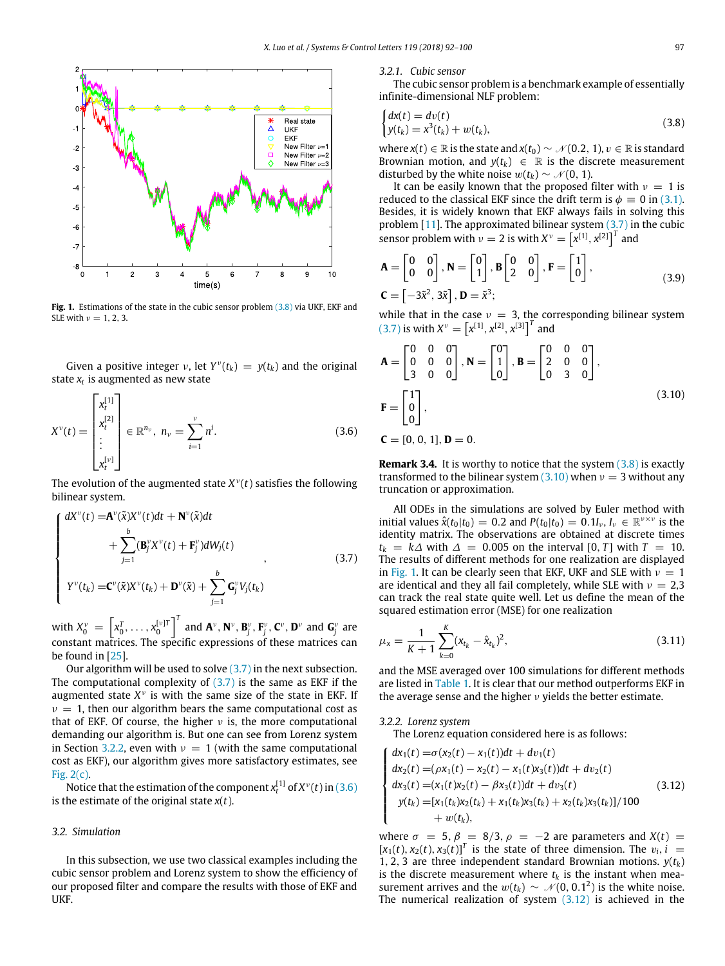<span id="page-5-6"></span>

Fig. 1. Estimations of the state in the cubic sensor problem [\(3.8\)](#page-5-1) via UKF, EKF and SLE with  $v = 1, 2, 3$ .

Given a positive integer v, let  $Y^{\nu}(t_k) = y(t_k)$  and the original state *x<sup>t</sup>* is augmented as new state

<span id="page-5-4"></span>
$$
X^{\nu}(t) = \begin{bmatrix} x_t^{[1]} \\ x_t^{[2]} \\ \vdots \\ x_t^{[v]} \end{bmatrix} \in \mathbb{R}^{n_{\nu}}, \ n_{\nu} = \sum_{i=1}^{\nu} n^i.
$$
 (3.6)

The evolution of the augmented state  $X^{\nu}(t)$  satisfies the following bilinear system.

<span id="page-5-2"></span>
$$
\begin{cases}\ndX^{\nu}(t) = \mathbf{A}^{\nu}(\tilde{\mathbf{x}})X^{\nu}(t)dt + \mathbf{N}^{\nu}(\tilde{\mathbf{x}})dt \\
+ \sum_{j=1}^{b} (\mathbf{B}_{j}^{\nu}X^{\nu}(t) + \mathbf{F}_{j}^{\nu})dW_{j}(t) \\
Y^{\nu}(t_{k}) = \mathbf{C}^{\nu}(\tilde{\mathbf{x}})X^{\nu}(t_{k}) + \mathbf{D}^{\nu}(\tilde{\mathbf{x}}) + \sum_{j=1}^{b} \mathbf{G}_{j}^{\nu}V_{j}(t_{k})\n\end{cases}
$$
\n(3.7)

with  $X_0^{\nu} = \left[x_0^T, \ldots, x_0^{[\nu]T}\right]^T$  and  $\mathbf{A}^{\nu}, \mathbf{N}^{\nu}, \mathbf{B}_j^{\nu}, \mathbf{F}_j^{\nu}, \mathbf{C}^{\nu}, \mathbf{D}^{\nu}$  and  $\mathbf{G}_j^{\nu}$  are constant matrices. The specific expressions of these matrices can be found in [[25](#page-8-19)].

Our algorithm will be used to solve [\(3.7\)](#page-5-2) in the next subsection. The computational complexity of  $(3.7)$  is the same as EKF if the augmented state  $X^{\nu}$  is with the same size of the state in EKF. If  $\nu = 1$ , then our algorithm bears the same computational cost as that of EKF. Of course, the higher  $\nu$  is, the more computational demanding our algorithm is. But one can see from Lorenz system in Section [3.2.2,](#page-5-3) even with  $v = 1$  (with the same computational cost as EKF), our algorithm gives more satisfactory estimates, see [Fig. 2\(c\).](#page-6-1)

Notice that the estimation of the component  $x^{[1]}_t$  of  $X^{\nu}(t)$  in  $(3.6)$ is the estimate of the original state *x*(*t*).

#### <span id="page-5-0"></span>*3.2. Simulation*

In this subsection, we use two classical examples including the cubic sensor problem and Lorenz system to show the efficiency of our proposed filter and compare the results with those of EKF and UKF.

*3.2.1. Cubic sensor*

The cubic sensor problem is a benchmark example of essentially infinite-dimensional NLF problem:

<span id="page-5-1"></span>
$$
\begin{cases} dx(t) = dv(t) \\ y(t_k) = x^3(t_k) + w(t_k), \end{cases}
$$
\n(3.8)

where  $x(t) \in \mathbb{R}$  is the state and  $x(t_0) \sim \mathcal{N}(0.2, 1)$ ,  $v \in \mathbb{R}$  is standard Brownian motion, and  $y(t_k) \in \mathbb{R}$  is the discrete measurement disturbed by the white noise  $w(t_k) \sim \mathcal{N}(0, 1)$ .

It can be easily known that the proposed filter with  $v = 1$  is reduced to the classical EKF since the drift term is  $\phi = 0$  in [\(3.1\).](#page-4-0) Besides, it is widely known that EKF always fails in solving this problem  $[11]$  $[11]$ . The approximated bilinear system  $(3.7)$  in the cubic sensor problem with  $v = 2$  is with  $X^v = \left[x^{[1]}, x^{[2]}\right]^T$  and

$$
\mathbf{A} = \begin{bmatrix} 0 & 0 \\ 0 & 0 \end{bmatrix}, \mathbf{N} = \begin{bmatrix} 0 \\ 1 \end{bmatrix}, \mathbf{B} \begin{bmatrix} 0 & 0 \\ 2 & 0 \end{bmatrix}, \mathbf{F} = \begin{bmatrix} 1 \\ 0 \end{bmatrix},
$$
  

$$
\mathbf{C} = \begin{bmatrix} -3\tilde{\mathbf{x}}^2, 3\tilde{\mathbf{x}} \end{bmatrix}, \mathbf{D} = \tilde{\mathbf{x}}^3;
$$
 (3.9)

while that in the case  $v = 3$ , the corresponding bilinear system  $(X^{\nu}) = [x^{[1]}, x^{[2]}, x^{[3]}]^T$  and

<span id="page-5-5"></span>
$$
\mathbf{A} = \begin{bmatrix} 0 & 0 & 0 \\ 0 & 0 & 0 \\ 3 & 0 & 0 \end{bmatrix}, \mathbf{N} = \begin{bmatrix} 0 \\ 1 \\ 0 \end{bmatrix}, \mathbf{B} = \begin{bmatrix} 0 & 0 & 0 \\ 2 & 0 & 0 \\ 0 & 3 & 0 \end{bmatrix},
$$
  
\n
$$
\mathbf{F} = \begin{bmatrix} 1 \\ 0 \\ 0 \end{bmatrix},
$$
  
\n
$$
\mathbf{C} = [0, 0, 1], \mathbf{D} = 0.
$$
  
\n(3.10)

**Remark 3.4.** It is worthy to notice that the system [\(3.8\)](#page-5-1) is exactly transformed to the bilinear system  $(3.10)$  when  $\nu = 3$  without any truncation or approximation.

All ODEs in the simulations are solved by Euler method with initial values  $\hat{x}(t_0|t_0) = 0.2$  and  $P(t_0|t_0) = 0.1I_\nu$ ,  $I_\nu \in \mathbb{R}^{\nu \times \nu}$  is the identity matrix. The observations are obtained at discrete times *t*<sub>*k*</sub> = *k*∆ with  $\Delta$  = 0.005 on the interval [0, *T*] with *T* = 10. The results of different methods for one realization are displayed in [Fig. 1](#page-5-6). It can be clearly seen that EKF, UKF and SLE with  $\nu = 1$ are identical and they all fail completely, while SLE with  $\nu = 2.3$ can track the real state quite well. Let us define the mean of the squared estimation error (MSE) for one realization

$$
\mu_x = \frac{1}{K+1} \sum_{k=0}^{K} (x_{t_k} - \hat{x}_{t_k})^2, \qquad (3.11)
$$

and the MSE averaged over 100 simulations for different methods are listed in [Table 1](#page-6-2). It is clear that our method outperforms EKF in the average sense and the higher  $\nu$  yields the better estimate.

#### <span id="page-5-3"></span>*3.2.2. Lorenz system*

The Lorenz equation considered here is as follows:

<span id="page-5-7"></span>
$$
\begin{cases}\ndx_1(t) = \sigma(x_2(t) - x_1(t))dt + dv_1(t) \\
dx_2(t) = (\rho x_1(t) - x_2(t) - x_1(t)x_3(t))dt + dv_2(t) \\
dx_3(t) = (x_1(t)x_2(t) - \beta x_3(t))dt + dv_3(t) \\
y(t_k) = [x_1(t_k)x_2(t_k) + x_1(t_k)x_3(t_k) + x_2(t_k)x_3(t_k)]/100 \\
+ w(t_k),\n\end{cases} \tag{3.12}
$$

where  $\sigma = 5$ ,  $\beta = 8/3$ ,  $\rho = -2$  are parameters and  $X(t) =$  $[x_1(t), x_2(t), x_3(t)]^T$  is the state of three dimension. The  $v_i$ ,  $i =$ 1, 2, 3 are three independent standard Brownian motions.  $y(t_k)$ is the discrete measurement where  $t_k$  is the instant when measurement arrives and the  $w(t_k) \sim \mathcal{N}(0, 0.1^2)$  is the white noise. The numerical realization of system  $(3.12)$  is achieved in the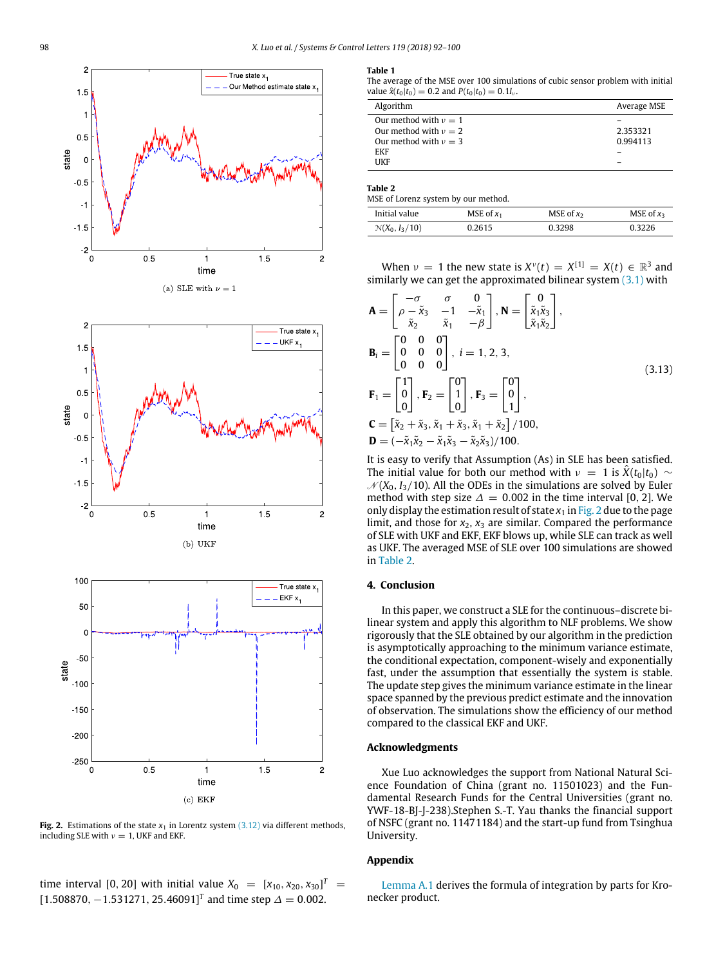<span id="page-6-1"></span>

**Fig. 2.** Estimations of the state  $x_1$  in Lorentz system  $(3.12)$  via different methods, including SLE with  $v = 1$ , UKF and EKF.

 $\text{time interval } [0, 20] \text{ with initial value } X_0 = [x_{10}, x_{20}, x_{30}]^T =$ [1.508870,  $-1.531271$ , 25.46091]<sup>T</sup> and time step  $\Delta = 0.002$ .

#### <span id="page-6-2"></span>**Table 1**

The average of the MSE over 100 simulations of cubic sensor problem with initial value  $\hat{x}(t_0|t_0) = 0.2$  and  $P(t_0|t_0) = 0.1I_v$ .

| Algorithm                 | Average MSE |
|---------------------------|-------------|
| Our method with $\nu = 1$ |             |
| Our method with $v = 2$   | 2.353321    |
| Our method with $\nu = 3$ | 0.994113    |
| <b>FKF</b>                |             |
| HKF                       |             |

<span id="page-6-3"></span>**Table 2**

MSE of Lorenz system by our method.

| Initial value    | MSE of $x_1$ | MSE of $x_2$ | MSE of $x_3$ |
|------------------|--------------|--------------|--------------|
| $N(X_0, I_3/10)$ | 0.2615       | 0.3298       | 0.3226       |

When  $v = 1$  the new state is  $X^{\nu}(t) = X^{[1]} = X(t) \in \mathbb{R}^3$  and similarly we can get the approximated bilinear system  $(3.1)$  with

$$
\mathbf{A} = \begin{bmatrix} -\sigma & \sigma & 0 \\ \rho - \tilde{x}_3 & -1 & -\tilde{x}_1 \\ \tilde{x}_2 & \tilde{x}_1 & -\beta \end{bmatrix}, \mathbf{N} = \begin{bmatrix} 0 \\ \tilde{x}_1 \tilde{x}_3 \\ \tilde{x}_1 \tilde{x}_2 \end{bmatrix},
$$
  
\n
$$
\mathbf{B}_i = \begin{bmatrix} 0 & 0 & 0 \\ 0 & 0 & 0 \\ 0 & 0 & 0 \end{bmatrix}, i = 1, 2, 3,
$$
  
\n
$$
\mathbf{F}_1 = \begin{bmatrix} 1 \\ 0 \\ 0 \end{bmatrix}, \mathbf{F}_2 = \begin{bmatrix} 0 \\ 1 \\ 0 \end{bmatrix}, \mathbf{F}_3 = \begin{bmatrix} 0 \\ 0 \\ 1 \end{bmatrix},
$$
  
\n
$$
\mathbf{C} = \begin{bmatrix} \tilde{x}_2 + \tilde{x}_3, \tilde{x}_1 + \tilde{x}_3, \tilde{x}_1 + \tilde{x}_2 \end{bmatrix} / 100,
$$
  
\n
$$
\mathbf{D} = (-\tilde{x}_1 \tilde{x}_2 - \tilde{x}_1 \tilde{x}_3 - \tilde{x}_2 \tilde{x}_3) / 100.
$$
 (3.13)

It is easy to verify that Assumption (As) in SLE has been satisfied. The initial value for both our method with  $\nu = 1$  is  $\ddot{X}(t_0|t_0) \sim$  $N(X_0, I_3/10)$ . All the ODEs in the simulations are solved by Euler method with step size  $\Delta = 0.002$  in the time interval [0, 2]. We only display the estimation result of state  $x_1$  in [Fig. 2](#page-6-1) due to the page limit, and those for  $x_2$ ,  $x_3$  are similar. Compared the performance of SLE with UKF and EKF, EKF blows up, while SLE can track as well as UKF. The averaged MSE of SLE over 100 simulations are showed in [Table 2.](#page-6-3)

#### <span id="page-6-0"></span>**4. Conclusion**

In this paper, we construct a SLE for the continuous–discrete bilinear system and apply this algorithm to NLF problems. We show rigorously that the SLE obtained by our algorithm in the prediction is asymptotically approaching to the minimum variance estimate, the conditional expectation, component-wisely and exponentially fast, under the assumption that essentially the system is stable. The update step gives the minimum variance estimate in the linear space spanned by the previous predict estimate and the innovation of observation. The simulations show the efficiency of our method compared to the classical EKF and UKF.

#### **Acknowledgments**

Xue Luo acknowledges the support from National Natural Science Foundation of China (grant no. 11501023) and the Fundamental Research Funds for the Central Universities (grant no. YWF-18-BJ-J-238).Stephen S.-T. Yau thanks the financial support of NSFC (grant no. 11471184) and the start-up fund from Tsinghua University.

#### **Appendix**

[Lemma A.1](#page-7-2) derives the formula of integration by parts for Kronecker product.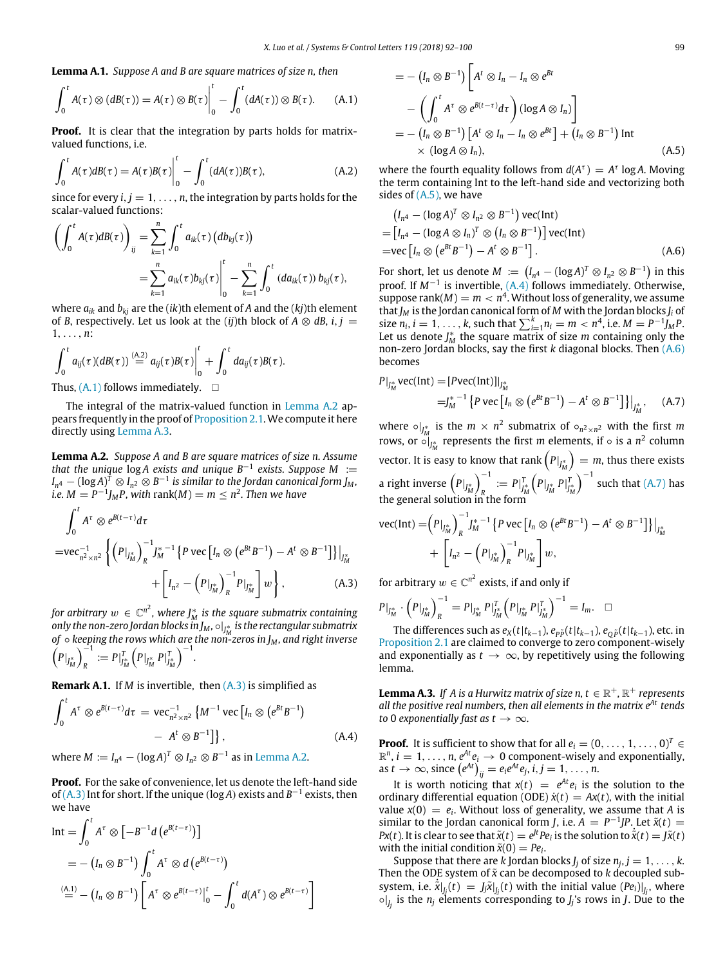<span id="page-7-2"></span>**Lemma A.1.** *Suppose A and B are square matrices of size n, then*

<span id="page-7-3"></span>
$$
\int_0^t A(\tau) \otimes (dB(\tau)) = A(\tau) \otimes B(\tau) \Big|_0^t - \int_0^t (dA(\tau)) \otimes B(\tau). \qquad (A.1)
$$

**Proof.** It is clear that the integration by parts holds for matrixvalued functions, i.e.

$$
\int_0^t A(\tau)dB(\tau) = A(\tau)B(\tau)\Big|_0^t - \int_0^t (dA(\tau))B(\tau), \tag{A.2}
$$

since for every  $i, j = 1, \ldots, n$ , the integration by parts holds for the scalar-valued functions:

$$
\left(\int_0^t A(\tau)dB(\tau)\right)_{ij} = \sum_{k=1}^n \int_0^t a_{ik}(\tau) \left(db_{kj}(\tau)\right)
$$

$$
= \sum_{k=1}^n a_{ik}(\tau) b_{kj}(\tau)\Big|_0^t - \sum_{k=1}^n \int_0^t (da_{ik}(\tau)) b_{kj}(\tau),
$$

where *aik* and *bkj* are the (*ik*)th element of *A* and the (*kj*)th element of *B*, respectively. Let us look at the (*ij*)th block of  $A \otimes dB$ , *i*, *j* = 1, . . . , *n*:

$$
\int_0^t a_{ij}(\tau) (dB(\tau)) \stackrel{(A,2)}{=} a_{ij}(\tau) B(\tau) \Big|_0^t + \int_0^t da_{ij}(\tau) B(\tau).
$$
  
Thus (A, 1) follows immediately.

Thus,  $(A.1)$  follows immediately.  $\square$ 

The integral of the matrix-valued function in [Lemma A.2](#page-7-1) appears frequently in the proof of [Proposition 2.1](#page-2-1).We compute it here directly using [Lemma A.3](#page-7-0).

<span id="page-7-1"></span>**Lemma A.2.** *Suppose A and B are square matrices of size n. Assume that the unique* log *A exists and unique B*−<sup>1</sup> *exists. Suppose M* :=  $I_{n^4} - (\log A)^{\widehat{I}}\otimes I_{n^2}\otimes B^{-1}$  is similar to the Jordan canonical form J<sub>M</sub>,  $\ddot{\textbf{i}}$ *.e.*  $M = P^{-1}J_M P$ , with rank(M)  $= m \leq n^2$ . Then we have

<span id="page-7-4"></span>
$$
\int_0^t A^{\tau} \otimes e^{B(t-\tau)} d\tau
$$
\n
$$
= \text{vec}_{n^2 \times n^2}^{-1} \left\{ \left( P \big|_{J_M^*} \right)_R^{-1} J_M^{*-1} \left\{ P \text{ vec} \left[ I_n \otimes (e^{Bt} B^{-1}) - A^t \otimes B^{-1} \right] \right\} \big|_{J_M^*} + \left[ I_{n^2} - \left( P \big|_{J_M^*} \right)_R^{-1} P \big|_{J_M^*} \right] w \right\}, \tag{A.3}
$$

for arbitrary  $w \in \mathbb{C}^{n^2}$ , where  $J_M^*$  is the square submatrix containing only the non-zero Jordan blocks  $\ddot{{\mathbf{m}}} J_M$ ,  $\circ|_{J^*_M}$  is the rectangular submatrix *M of* ◦ *keeping the rows which are the non-zeros in J<sup>M</sup> , and right inverse*  $\left(P|_{J_M^*}\right)_R^{-1}$  $P \big|_{J_M^*}^T = P \big|_{J_M^*}^T$  $\left( P \big|_{J^*_M} P \big|_{J^*_M}^T \right)$ )<sup>−</sup><sup>1</sup> *.*

**Remark A.1.** If *M* is invertible, then  $(A.3)$  is simplified as

<span id="page-7-6"></span>
$$
\int_0^t A^{\tau} \otimes e^{B(t-\tau)} d\tau = \text{vec}_{n^2 \times n^2}^{-1} \left\{ M^{-1} \text{vec} \left[ I_n \otimes \left( e^{Bt} B^{-1} \right) - A^t \otimes B^{-1} \right] \right\}, \tag{A.4}
$$

where  $M := I_{n^4} - (\log A)^T \otimes I_{n^2} \otimes B^{-1}$  as in [Lemma A.2](#page-7-1).

**Proof.** For the sake of convenience, let us denote the left-hand side of [\(A.3\)](#page-7-4) Int for short. If the unique (log A) exists and  $B^{-1}$  exists, then we have

$$
\begin{split} \text{Int} &= \int_0^t A^\tau \otimes \left[ -B^{-1}d\left( e^{B(t-\tau)} \right) \right] \\ &= -\left( I_n \otimes B^{-1} \right) \int_0^t A^\tau \otimes d\left( e^{B(t-\tau)} \right) \\ & \stackrel{\text{(A.1)}}{=} -\left( I_n \otimes B^{-1} \right) \left[ A^\tau \otimes e^{B(t-\tau)} \right]_0^t - \int_0^t d(A^\tau) \otimes e^{B(t-\tau)} \right] \end{split}
$$

$$
= - (I_n \otimes B^{-1}) \left[ A^t \otimes I_n - I_n \otimes e^{Bt} \right]
$$
  
\n
$$
- \left( \int_0^t A^{\tau} \otimes e^{B(t-\tau)} d\tau \right) (\log A \otimes I_n) \right]
$$
  
\n
$$
= - (I_n \otimes B^{-1}) [A^t \otimes I_n - I_n \otimes e^{Bt}] + (I_n \otimes B^{-1}) \text{ Int}
$$
  
\n
$$
\times (\log A \otimes I_n), \qquad (A.5)
$$

<span id="page-7-5"></span>where the fourth equality follows from  $d(A^{\tau}) = A^{\tau} \log A$ . Moving the term containing Int to the left-hand side and vectorizing both sides of [\(A.5\),](#page-7-5) we have

$$
(I_{n^4} - (\log A)^T \otimes I_{n^2} \otimes B^{-1}) \text{ vec}(\text{Int})
$$
  
= 
$$
[I_{n^4} - (\log A \otimes I_n)^T \otimes (I_n \otimes B^{-1})] \text{ vec}(\text{Int})
$$
  
= 
$$
\text{ vec } [I_n \otimes (e^{Bt} B^{-1}) - A^t \otimes B^{-1}].
$$
 (A.6)

<span id="page-7-7"></span>For short, let us denote  $M := (I_{n^4} - (\log A)^T \otimes I_{n^2} \otimes B^{-1})$  in this proof. If *M*<sup>-1</sup> is invertible, [\(A.4\)](#page-7-6) follows immediately. Otherwise, suppose rank $(M) = m < n<sup>4</sup>$ . Without loss of generality, we assume that*J<sup>M</sup>* is the Jordan canonical form of *M* with the Jordan blocks *J<sup>i</sup>* of size  $n_i$ ,  $i = 1, ..., k$ , such that  $\sum_{i=1}^{k} n_i = m < n^4$ , i.e.  $M = P^{-1}J_M P$ . Let us denote  $J_M^*$  the square matrix of size *m* containing only the non-zero Jordan blocks, say the first *k* diagonal blocks. Then [\(A.6\)](#page-7-7) becomes

<span id="page-7-8"></span>
$$
P|_{J_M^*} \text{vec}(\text{Int}) = [P \text{vec}(\text{Int})]|_{J_M^*}
$$
  
= 
$$
J_M^{*-1} \{ P \text{vec} [I_n \otimes (e^{Bt} B^{-1}) - A^t \otimes B^{-1}] \} |_{J_M^*}, \quad (A.7)
$$

where  $\circ|_{J_M^*}$  is the  $m \times n^2$  submatrix of  $\circ_{n^2 \times n^2}$  with the first m rows, or  $\circ|_{J_M^*}$  represents the first *m* elements, if  $\circ$  is a *n*<sup>2</sup> column vector. It is easy to know that rank  $(P|_{J_M^*}) = m$ , thus there exists a right inverse  $\left(P|_{J_{M}^{*}}\right)_{R}^{-1}$  $P \big|_{J_M^*}^T := P \big|_{J_M^*}^T$  $\left(P|_{J^*_M} P|_{J^*_M}^T\right)$  $\int^{-1}$  such that [\(A.7\)](#page-7-8) has the general solution in the form

vec(int) = 
$$
(P|_{J_M^*})_R^{-1} J_M^{*-1} \{ P \text{ vec} [I_n \otimes (e^{Bt} B^{-1}) - A^t \otimes B^{-1}] \} |_{J_M^*}
$$
  
+  $\left[ I_{n^2} - (P|_{J_M^*})_R^{-1} P|_{J_M^*} \right] w$ ,

for arbitrary  $w \in \mathbb{C}^{n^2}$  exists, if and only if

$$
P|_{J_M^*} \cdot (P|_{J_M^*})_R^{-1} = P|_{J_M^*} P|_{J_M^*}^T (P|_{J_M^*} P|_{J_M^*}^T)^{-1} = I_m. \quad \Box
$$

The differences such as  $e_X(t|t_{k-1})$ ,  $e_{p\tilde{p}}(t|t_{k-1})$ ,  $e_{\tilde{p}}(t|t_{k-1})$ , etc. in [Proposition 2.1](#page-2-1) are claimed to converge to zero component-wisely and exponentially as  $t \to \infty$ , by repetitively using the following lemma.

<span id="page-7-0"></span>**Lemma A.3.** If A is a Hurwitz matrix of size n,  $t \in \mathbb{R}^+$ ,  $\mathbb{R}^+$  represents *all the positive real numbers, then all elements in the matrix eAt tends to* 0 *exponentially fast as*  $t \rightarrow \infty$ *.* 

**Proof.** It is sufficient to show that for all  $e_i = (0, \ldots, 1, \ldots, 0)^T \in$  $\mathbb{R}^n$ ,  $i = 1, \ldots, n$ ,  $e^{At}e_i \rightarrow 0$  component-wisely and exponentially, as  $t \to \infty$ , since  $(e^{At})_{ij} = e_i e^{At} e_j$ ,  $i, j = 1, \ldots, n$ .

It is worth noticing that  $x(t) = e^{At}e_i$  is the solution to the ordinary differential equation (ODE)  $\dot{x}(t) = Ax(t)$ , with the initial value  $x(0) = e_i$ . Without loss of generality, we assume that *A* is similar to the Jordan canonical form *J*, i.e.  $A = P^{-1}JP$ . Let  $\tilde{x}(t) =$ *Px*(*t*). It is clear to see that  $\tilde{x}(t) = e^{Jt}Pe_i$  is the solution to  $\tilde{x}(t) = J\tilde{x}(t)$ with the initial condition  $\tilde{x}(0) = Pe_i$ .

Suppose that there are *k* Jordan blocks  $J_j$  of size  $n_j$ ,  $j = 1, \ldots, k$ . Then the ODE system of  $\tilde{x}$  can be decomposed to  $k$  decoupled subsystem, i.e.  $\dot{x}|_{J_j}(t) = J_j \ddot{x}|_{J_j}(t)$  with the initial value  $(Pe_i)|_{J_j}$ , where  $\circ$   $|_{j_j}$  is the  $n_j$  elements corresponding to  $j_j$ 's rows in *J*. Due to the